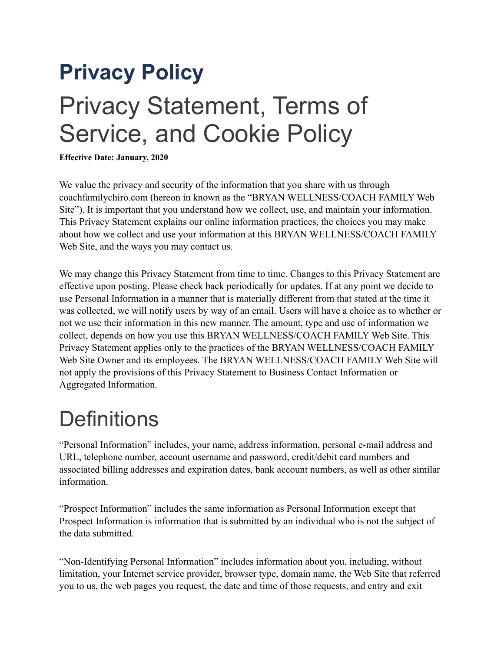# **Privacy Policy**  Privacy Statement, Terms of Service, and Cookie Policy

**Effective Date: January, 2020**

We value the privacy and security of the information that you share with us through coachfamilychiro.com (hereon in known as the "BRYAN WELLNESS/COACH FAMILY Web Site"). It is important that you understand how we collect, use, and maintain your information. This Privacy Statement explains our online information practices, the choices you may make about how we collect and use your information at this BRYAN WELLNESS/COACH FAMILY Web Site, and the ways you may contact us.

We may change this Privacy Statement from time to time. Changes to this Privacy Statement are effective upon posting. Please check back periodically for updates. If at any point we decide to use Personal Information in a manner that is materially different from that stated at the time it was collected, we will notify users by way of an email. Users will have a choice as to whether or not we use their information in this new manner. The amount, type and use of information we collect, depends on how you use this BRYAN WELLNESS/COACH FAMILY Web Site. This Privacy Statement applies only to the practices of the BRYAN WELLNESS/COACH FAMILY Web Site Owner and its employees. The BRYAN WELLNESS/COACH FAMILY Web Site will not apply the provisions of this Privacy Statement to Business Contact Information or Aggregated Information.

#### **Definitions**

"Personal Information" includes, your name, address information, personal e-mail address and URL, telephone number, account username and password, credit/debit card numbers and associated billing addresses and expiration dates, bank account numbers, as well as other similar information.

"Prospect Information" includes the same information as Personal Information except that Prospect Information is information that is submitted by an individual who is not the subject of the data submitted.

"Non-Identifying Personal Information" includes information about you, including, without limitation, your Internet service provider, browser type, domain name, the Web Site that referred you to us, the web pages you request, the date and time of those requests, and entry and exit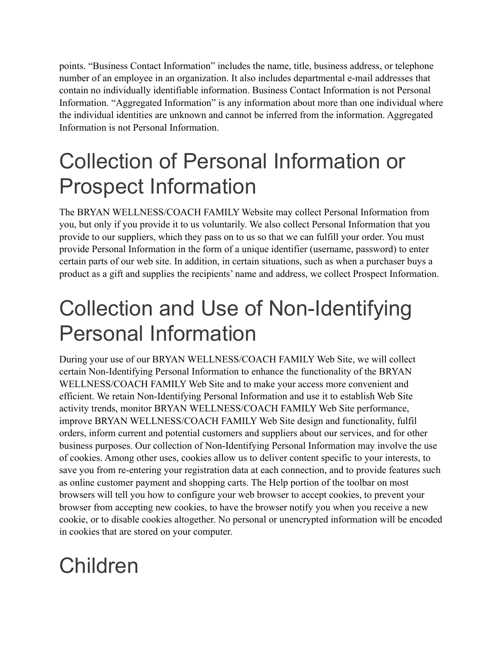points. "Business Contact Information" includes the name, title, business address, or telephone number of an employee in an organization. It also includes departmental e-mail addresses that contain no individually identifiable information. Business Contact Information is not Personal Information. "Aggregated Information" is any information about more than one individual where the individual identities are unknown and cannot be inferred from the information. Aggregated Information is not Personal Information.

#### Collection of Personal Information or Prospect Information

The BRYAN WELLNESS/COACH FAMILY Website may collect Personal Information from you, but only if you provide it to us voluntarily. We also collect Personal Information that you provide to our suppliers, which they pass on to us so that we can fulfill your order. You must provide Personal Information in the form of a unique identifier (username, password) to enter certain parts of our web site. In addition, in certain situations, such as when a purchaser buys a product as a gift and supplies the recipients' name and address, we collect Prospect Information.

#### Collection and Use of Non-Identifying Personal Information

During your use of our BRYAN WELLNESS/COACH FAMILY Web Site, we will collect certain Non-Identifying Personal Information to enhance the functionality of the BRYAN WELLNESS/COACH FAMILY Web Site and to make your access more convenient and efficient. We retain Non-Identifying Personal Information and use it to establish Web Site activity trends, monitor BRYAN WELLNESS/COACH FAMILY Web Site performance, improve BRYAN WELLNESS/COACH FAMILY Web Site design and functionality, fulfil orders, inform current and potential customers and suppliers about our services, and for other business purposes. Our collection of Non-Identifying Personal Information may involve the use of cookies. Among other uses, cookies allow us to deliver content specific to your interests, to save you from re-entering your registration data at each connection, and to provide features such as online customer payment and shopping carts. The Help portion of the toolbar on most browsers will tell you how to configure your web browser to accept cookies, to prevent your browser from accepting new cookies, to have the browser notify you when you receive a new cookie, or to disable cookies altogether. No personal or unencrypted information will be encoded in cookies that are stored on your computer.

#### Children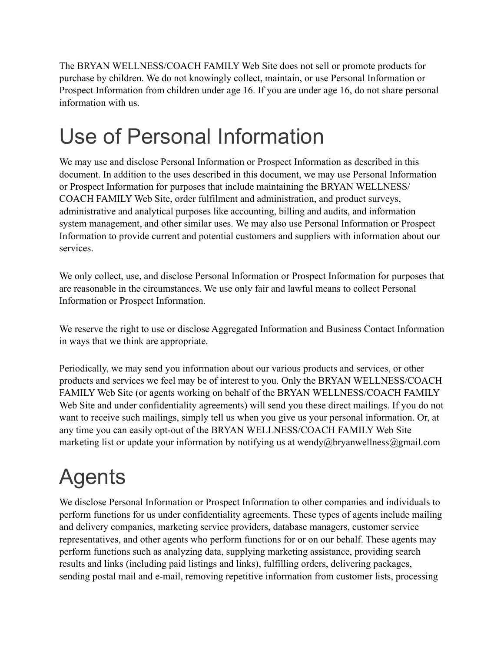The BRYAN WELLNESS/COACH FAMILY Web Site does not sell or promote products for purchase by children. We do not knowingly collect, maintain, or use Personal Information or Prospect Information from children under age 16. If you are under age 16, do not share personal information with us.

### Use of Personal Information

We may use and disclose Personal Information or Prospect Information as described in this document. In addition to the uses described in this document, we may use Personal Information or Prospect Information for purposes that include maintaining the BRYAN WELLNESS/ COACH FAMILY Web Site, order fulfilment and administration, and product surveys, administrative and analytical purposes like accounting, billing and audits, and information system management, and other similar uses. We may also use Personal Information or Prospect Information to provide current and potential customers and suppliers with information about our services.

We only collect, use, and disclose Personal Information or Prospect Information for purposes that are reasonable in the circumstances. We use only fair and lawful means to collect Personal Information or Prospect Information.

We reserve the right to use or disclose Aggregated Information and Business Contact Information in ways that we think are appropriate.

Periodically, we may send you information about our various products and services, or other products and services we feel may be of interest to you. Only the BRYAN WELLNESS/COACH FAMILY Web Site (or agents working on behalf of the BRYAN WELLNESS/COACH FAMILY Web Site and under confidentiality agreements) will send you these direct mailings. If you do not want to receive such mailings, simply tell us when you give us your personal information. Or, at any time you can easily opt-out of the BRYAN WELLNESS/COACH FAMILY Web Site marketing list or update your information by notifying us at wendy@bryanwellness@gmail.com

#### Agents

We disclose Personal Information or Prospect Information to other companies and individuals to perform functions for us under confidentiality agreements. These types of agents include mailing and delivery companies, marketing service providers, database managers, customer service representatives, and other agents who perform functions for or on our behalf. These agents may perform functions such as analyzing data, supplying marketing assistance, providing search results and links (including paid listings and links), fulfilling orders, delivering packages, sending postal mail and e-mail, removing repetitive information from customer lists, processing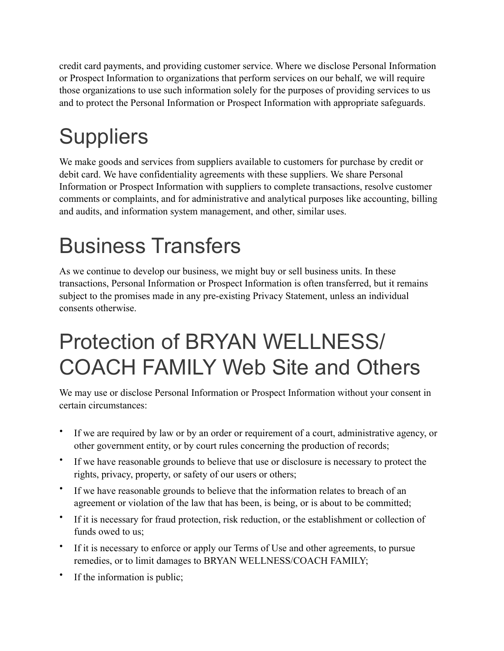credit card payments, and providing customer service. Where we disclose Personal Information or Prospect Information to organizations that perform services on our behalf, we will require those organizations to use such information solely for the purposes of providing services to us and to protect the Personal Information or Prospect Information with appropriate safeguards.

# **Suppliers**

We make goods and services from suppliers available to customers for purchase by credit or debit card. We have confidentiality agreements with these suppliers. We share Personal Information or Prospect Information with suppliers to complete transactions, resolve customer comments or complaints, and for administrative and analytical purposes like accounting, billing and audits, and information system management, and other, similar uses.

### Business Transfers

As we continue to develop our business, we might buy or sell business units. In these transactions, Personal Information or Prospect Information is often transferred, but it remains subject to the promises made in any pre-existing Privacy Statement, unless an individual consents otherwise.

#### Protection of BRYAN WELLNESS/ COACH FAMILY Web Site and Others

We may use or disclose Personal Information or Prospect Information without your consent in certain circumstances:

- If we are required by law or by an order or requirement of a court, administrative agency, or other government entity, or by court rules concerning the production of records;
- If we have reasonable grounds to believe that use or disclosure is necessary to protect the rights, privacy, property, or safety of our users or others;
- If we have reasonable grounds to believe that the information relates to breach of an agreement or violation of the law that has been, is being, or is about to be committed;
- If it is necessary for fraud protection, risk reduction, or the establishment or collection of funds owed to us;
- If it is necessary to enforce or apply our Terms of Use and other agreements, to pursue remedies, or to limit damages to BRYAN WELLNESS/COACH FAMILY;
- If the information is public;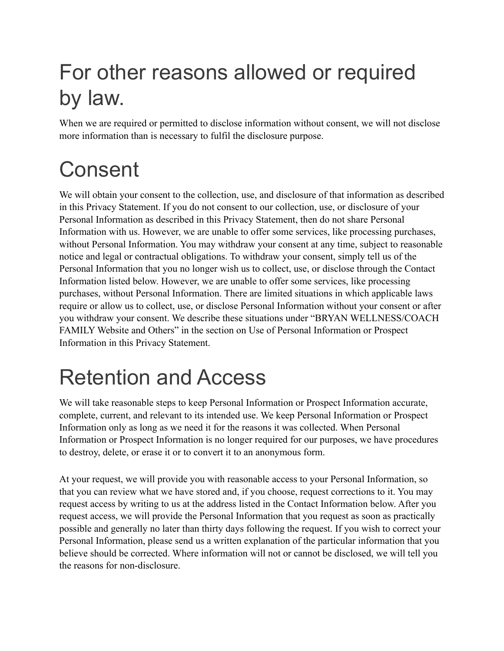### For other reasons allowed or required by law.

When we are required or permitted to disclose information without consent, we will not disclose more information than is necessary to fulfil the disclosure purpose.

### Consent

We will obtain your consent to the collection, use, and disclosure of that information as described in this Privacy Statement. If you do not consent to our collection, use, or disclosure of your Personal Information as described in this Privacy Statement, then do not share Personal Information with us. However, we are unable to offer some services, like processing purchases, without Personal Information. You may withdraw your consent at any time, subject to reasonable notice and legal or contractual obligations. To withdraw your consent, simply tell us of the Personal Information that you no longer wish us to collect, use, or disclose through the Contact Information listed below. However, we are unable to offer some services, like processing purchases, without Personal Information. There are limited situations in which applicable laws require or allow us to collect, use, or disclose Personal Information without your consent or after you withdraw your consent. We describe these situations under "BRYAN WELLNESS/COACH FAMILY Website and Others" in the section on Use of Personal Information or Prospect Information in this Privacy Statement.

### Retention and Access

We will take reasonable steps to keep Personal Information or Prospect Information accurate, complete, current, and relevant to its intended use. We keep Personal Information or Prospect Information only as long as we need it for the reasons it was collected. When Personal Information or Prospect Information is no longer required for our purposes, we have procedures to destroy, delete, or erase it or to convert it to an anonymous form.

At your request, we will provide you with reasonable access to your Personal Information, so that you can review what we have stored and, if you choose, request corrections to it. You may request access by writing to us at the address listed in the Contact Information below. After you request access, we will provide the Personal Information that you request as soon as practically possible and generally no later than thirty days following the request. If you wish to correct your Personal Information, please send us a written explanation of the particular information that you believe should be corrected. Where information will not or cannot be disclosed, we will tell you the reasons for non-disclosure.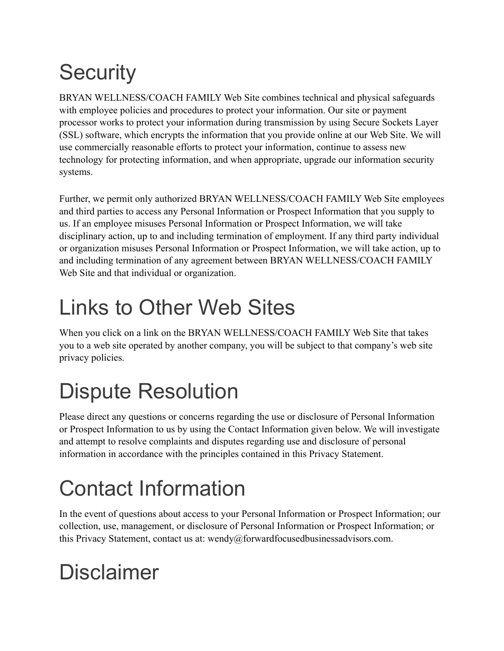# **Security**

BRYAN WELLNESS/COACH FAMILY Web Site combines technical and physical safeguards with employee policies and procedures to protect your information. Our site or payment processor works to protect your information during transmission by using Secure Sockets Layer (SSL) software, which encrypts the information that you provide online at our Web Site. We will use commercially reasonable efforts to protect your information, continue to assess new technology for protecting information, and when appropriate, upgrade our information security systems.

Further, we permit only authorized BRYAN WELLNESS/COACH FAMILY Web Site employees and third parties to access any Personal Information or Prospect Information that you supply to us. If an employee misuses Personal Information or Prospect Information, we will take disciplinary action, up to and including termination of employment. If any third party individual or organization misuses Personal Information or Prospect Information, we will take action, up to and including termination of any agreement between BRYAN WELLNESS/COACH FAMILY Web Site and that individual or organization.

### Links to Other Web Sites

When you click on a link on the BRYAN WELLNESS/COACH FAMILY Web Site that takes you to a web site operated by another company, you will be subject to that company's web site privacy policies.

### Dispute Resolution

Please direct any questions or concerns regarding the use or disclosure of Personal Information or Prospect Information to us by using the Contact Information given below. We will investigate and attempt to resolve complaints and disputes regarding use and disclosure of personal information in accordance with the principles contained in this Privacy Statement.

# Contact Information

In the event of questions about access to your Personal Information or Prospect Information; our collection, use, management, or disclosure of Personal Information or Prospect Information; or this Privacy Statement, contact us at: wendy@forwardfocusedbusinessadvisors.com.

### Disclaimer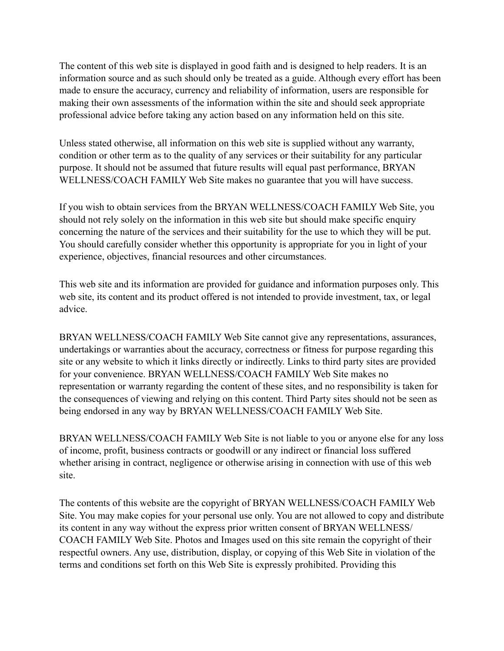The content of this web site is displayed in good faith and is designed to help readers. It is an information source and as such should only be treated as a guide. Although every effort has been made to ensure the accuracy, currency and reliability of information, users are responsible for making their own assessments of the information within the site and should seek appropriate professional advice before taking any action based on any information held on this site.

Unless stated otherwise, all information on this web site is supplied without any warranty, condition or other term as to the quality of any services or their suitability for any particular purpose. It should not be assumed that future results will equal past performance, BRYAN WELLNESS/COACH FAMILY Web Site makes no guarantee that you will have success.

If you wish to obtain services from the BRYAN WELLNESS/COACH FAMILY Web Site, you should not rely solely on the information in this web site but should make specific enquiry concerning the nature of the services and their suitability for the use to which they will be put. You should carefully consider whether this opportunity is appropriate for you in light of your experience, objectives, financial resources and other circumstances.

This web site and its information are provided for guidance and information purposes only. This web site, its content and its product offered is not intended to provide investment, tax, or legal advice.

BRYAN WELLNESS/COACH FAMILY Web Site cannot give any representations, assurances, undertakings or warranties about the accuracy, correctness or fitness for purpose regarding this site or any website to which it links directly or indirectly. Links to third party sites are provided for your convenience. BRYAN WELLNESS/COACH FAMILY Web Site makes no representation or warranty regarding the content of these sites, and no responsibility is taken for the consequences of viewing and relying on this content. Third Party sites should not be seen as being endorsed in any way by BRYAN WELLNESS/COACH FAMILY Web Site.

BRYAN WELLNESS/COACH FAMILY Web Site is not liable to you or anyone else for any loss of income, profit, business contracts or goodwill or any indirect or financial loss suffered whether arising in contract, negligence or otherwise arising in connection with use of this web site.

The contents of this website are the copyright of BRYAN WELLNESS/COACH FAMILY Web Site. You may make copies for your personal use only. You are not allowed to copy and distribute its content in any way without the express prior written consent of BRYAN WELLNESS/ COACH FAMILY Web Site. Photos and Images used on this site remain the copyright of their respectful owners. Any use, distribution, display, or copying of this Web Site in violation of the terms and conditions set forth on this Web Site is expressly prohibited. Providing this